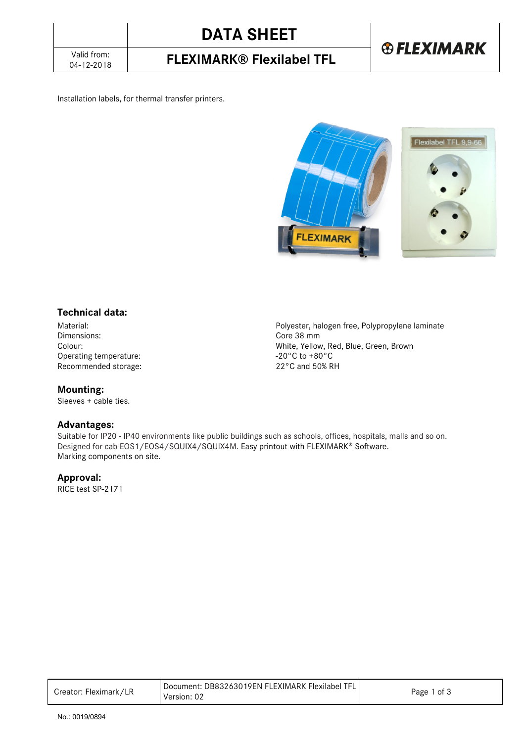04-12-2018 **FLEXIMARK® Flexilabel TFL**

#### Installation labels, for thermal transfer printers.



#### **Technical data:**

Operating temperature: Recommended storage: 22°C and 50% RH

**Mounting:** 

Sleeves + cable ties.

#### **Advantages:**

Material: Polyester, halogen free, Polypropylene laminate Core 38 mm Colour:<br>
Operating temperature:<br>
Operating temperature:<br>  $-20^{\circ}$ C to +80°C

Suitable for IP20 - IP40 environments like public buildings such as schools, offices, hospitals, malls and so on. Designed for cab EOS1/EOS4/SQUIX4/SQUIX4M. Easy printout with FLEXIMARK® Software. Marking components on site.

#### **Approval:**

RICE test SP-2171

| Creator: Fleximark/LR | Document: DB83263019EN FLEXIMARK Flexilabel TFL<br>Version: 02 | 1 of 3<br>Page 1 |
|-----------------------|----------------------------------------------------------------|------------------|
|-----------------------|----------------------------------------------------------------|------------------|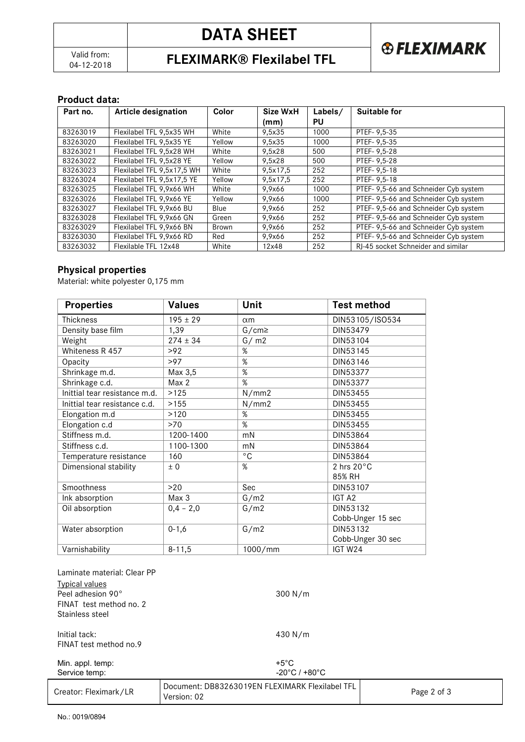# **DATA SHEET**



04-12-2018 **FLEXIMARK® Flexilabel TFL**

#### **Product data:**

| Part no. | <b>Article designation</b> | Color  | Size WxH | Labels/ | Suitable for                          |
|----------|----------------------------|--------|----------|---------|---------------------------------------|
|          |                            |        | (mm)     | PU      |                                       |
| 83263019 | Flexilabel TFL 9,5x35 WH   | White  | 9,5x35   | 1000    | PTEF-9,5-35                           |
| 83263020 | Flexilabel TFL 9.5x35 YE   | Yellow | 9,5x35   | 1000    | PTEF-9.5-35                           |
| 83263021 | Flexilabel TFL 9.5x28 WH   | White  | 9,5x28   | 500     | PTEF-9.5-28                           |
| 83263022 | Flexilabel TFL 9.5x28 YE   | Yellow | 9.5x28   | 500     | PTEF-9.5-28                           |
| 83263023 | Flexilabel TFL 9,5x17,5 WH | White  | 9,5x17,5 | 252     | PTEF-9.5-18                           |
| 83263024 | Flexilabel TFL 9,5x17,5 YE | Yellow | 9,5x17,5 | 252     | PTEF-9.5-18                           |
| 83263025 | Flexilabel TFL 9.9x66 WH   | White  | 9.9x66   | 1000    | PTEF-9,5-66 and Schneider Cyb system  |
| 83263026 | Flexilabel TFL 9.9x66 YE   | Yellow | 9.9x66   | 1000    | PTEF- 9,5-66 and Schneider Cyb system |
| 83263027 | Flexilabel TFL 9.9x66 BU   | Blue   | 9.9x66   | 252     | PTEF- 9,5-66 and Schneider Cyb system |
| 83263028 | Flexilabel TFL 9,9x66 GN   | Green  | 9,9x66   | 252     | PTEF-9,5-66 and Schneider Cyb system  |
| 83263029 | Flexilabel TFL 9.9x66 BN   | Brown  | 9,9x66   | 252     | PTEF- 9,5-66 and Schneider Cyb system |
| 83263030 | Flexilabel TFL 9.9x66 RD   | Red    | 9,9x66   | 252     | PTEF-9,5-66 and Schneider Cyb system  |
| 83263032 | Flexilable TFL 12x48       | White  | 12x48    | 252     | RI-45 socket Schneider and similar    |

### **Physical properties**

Material: white polyester 0,175 mm

| <b>Properties</b>             | <b>Values</b> | Unit           | <b>Test method</b>   |
|-------------------------------|---------------|----------------|----------------------|
| <b>Thickness</b>              | $195 \pm 29$  | $\alpha$ m     | DIN53105/ISO534      |
| Density base film             | 1,39          | $G/cm \ge$     | DIN53479             |
| Weight                        | $274 \pm 34$  | G/m2           | DIN53104             |
| Whiteness R 457               | >92           | $\%$           | DIN53145             |
| Opacity                       | >97           | $\%$           | DIN63146             |
| Shrinkage m.d.                | Max 3,5       | $\%$           | DIN53377             |
| Shrinkage c.d.                | Max 2         | $\%$           | DIN53377             |
| Inittial tear resistance m.d. | >125          | N/mm2          | DIN53455             |
| Inittial tear resistance c.d. | >155          | N/mm2          | DIN53455             |
| Elongation m.d                | >120          | %              | DIN53455             |
| Elongation c.d                | >70           | %              | DIN53455             |
| Stiffness m.d.                | 1200-1400     | mN             | DIN53864             |
| Stiffness c.d.                | 1100-1300     | mN             | DIN53864             |
| Temperature resistance        | 160           | $\overline{C}$ | DIN53864             |
| Dimensional stability         | ± 0           | %              | 2 hrs $20^{\circ}$ C |
|                               |               |                | 85% RH               |
| Smoothness                    | >20           | Sec            | DIN53107             |
| Ink absorption                | Max 3         | G/m2           | IGT A2               |
| Oil absorption                | $0,4 - 2,0$   | G/m2           | DIN53132             |
|                               |               |                | Cobb-Unger 15 sec    |
| Water absorption              | $0 - 1, 6$    | G/m2           | DIN53132             |
|                               |               |                | Cobb-Unger 30 sec    |
| Varnishability                | $8 - 11,5$    | 1000/mm        | IGT W24              |

| Laminate material: Clear PP                  |                                                                |             |
|----------------------------------------------|----------------------------------------------------------------|-------------|
| <b>Typical values</b>                        |                                                                |             |
| Peel adhesion 90°<br>FINAT test method no. 2 | 300 N/m                                                        |             |
| Stainless steel                              |                                                                |             |
| Initial tack:                                | 430 N/m                                                        |             |
| FINAT test method no.9                       |                                                                |             |
| Min. appl. temp:                             | +5 $^{\circ}$ C                                                |             |
| Service temp:                                | $-20^{\circ}$ C / +80 $^{\circ}$ C                             |             |
| Creator: Fleximark/LR                        | Document: DB83263019EN FLEXIMARK Flexilabel TFL<br>Version: 02 | Page 2 of 3 |